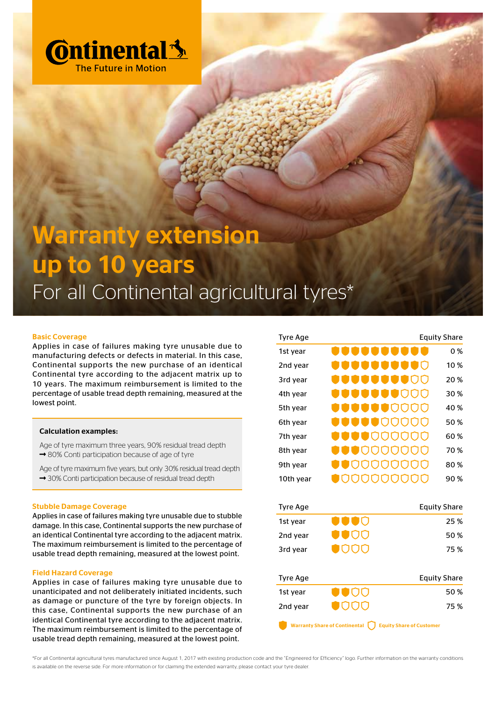

# Warranty extension up to 10 years For all Continental agricultural tyres\*

## Basic Coverage

Applies in case of failures making tyre unusable due to manufacturing defects or defects in material. In this case, Continental supports the new purchase of an identical Continental tyre according to the adjacent matrix up to 10 years. The maximum reimbursement is limited to the percentage of usable tread depth remaining, measured at the lowest point.

## Calculation examples:

Age of tyre maximum three years, 90% residual tread depth  $\rightarrow$  80% Conti participation because of age of tyre

Age of tyre maximum five years, but only 30% residual tread depth → 30% Conti participation because of residual tread depth

## Stubble Damage Coverage

Applies in case of failures making tyre unusable due to stubble damage. In this case, Continental supports the new purchase of an identical Continental tyre according to the adjacent matrix. The maximum reimbursement is limited to the percentage of usable tread depth remaining, measured at the lowest point.

## Field Hazard Coverage

Applies in case of failures making tyre unusable due to unanticipated and not deliberately initiated incidents, such as damage or puncture of the tyre by foreign objects. In this case, Continental supports the new purchase of an identical Continental tyre according to the adjacent matrix. The maximum reimbursement is limited to the percentage of usable tread depth remaining, measured at the lowest point.

| Tyre Age                                                                |                     | <b>Equity Share</b> |
|-------------------------------------------------------------------------|---------------------|---------------------|
| 1st year                                                                |                     | 0%                  |
| 2nd year                                                                |                     | 10%                 |
| 3rd year                                                                |                     | 20%                 |
| 4th year                                                                |                     | 30%                 |
| 5th year                                                                |                     | 40%                 |
| 6th year                                                                | U                   | 50%                 |
| 7th year                                                                |                     | 60%                 |
| 8th year                                                                | U<br>UU<br>U<br>U   | 70%                 |
| 9th year                                                                | U<br>U<br>U         | 80%                 |
| 10th year                                                               | 0000<br>O           | 90%                 |
|                                                                         |                     |                     |
| Tyre Age                                                                | <b>Equity Share</b> |                     |
| 1st year                                                                |                     | 25 %                |
| 2nd year                                                                |                     | 50%                 |
| 3rd year                                                                |                     | 75%                 |
|                                                                         |                     |                     |
| <b>Tyre Age</b>                                                         |                     | <b>Equity Share</b> |
| 1st year                                                                |                     | 50%                 |
| 2nd year                                                                | U                   | 75%                 |
| <b>Warranty Share of Continental</b><br><b>Equity Share of Customer</b> |                     |                     |

\*For all Continental agricultural tyres manufactured since August 1, 2017 with existing production code and the "Engineered for Efficiency" logo. Further information on the warranty conditions is available on the reverse side. For more information or for claiming the extended warranty, please contact your tyre dealer.